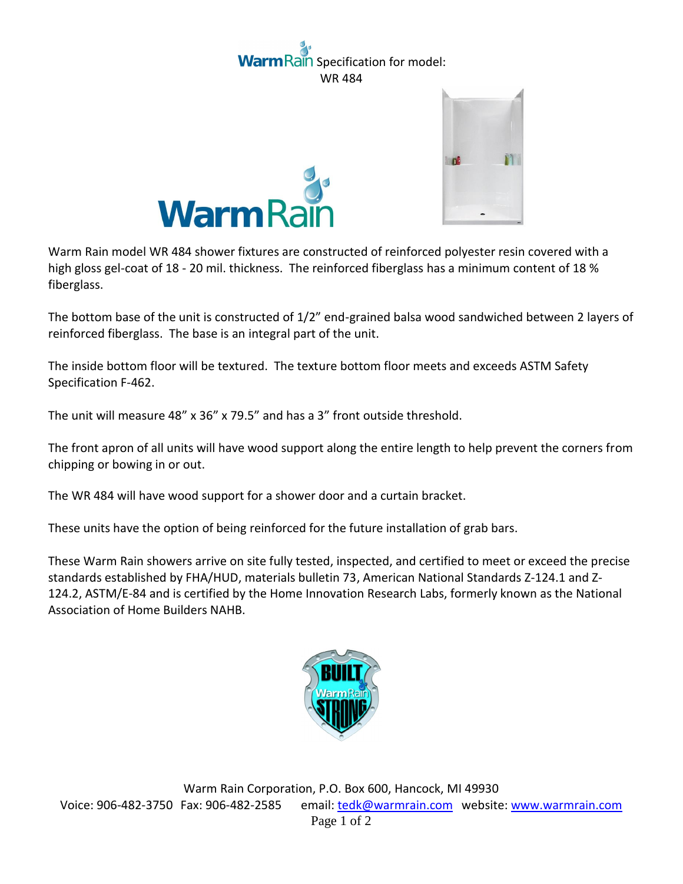## ain Specification for model: WR 484





Warm Rain model WR 484 shower fixtures are constructed of reinforced polyester resin covered with a high gloss gel-coat of 18 - 20 mil. thickness. The reinforced fiberglass has a minimum content of 18 % fiberglass.

The bottom base of the unit is constructed of 1/2" end-grained balsa wood sandwiched between 2 layers of reinforced fiberglass. The base is an integral part of the unit.

The inside bottom floor will be textured. The texture bottom floor meets and exceeds ASTM Safety Specification F-462.

The unit will measure 48" x 36" x 79.5" and has a 3" front outside threshold.

The front apron of all units will have wood support along the entire length to help prevent the corners from chipping or bowing in or out.

The WR 484 will have wood support for a shower door and a curtain bracket.

These units have the option of being reinforced for the future installation of grab bars.

These Warm Rain showers arrive on site fully tested, inspected, and certified to meet or exceed the precise standards established by FHA/HUD, materials bulletin 73, American National Standards Z-124.1 and Z-124.2, ASTM/E-84 and is certified by the Home Innovation Research Labs, formerly known as the National Association of Home Builders NAHB.